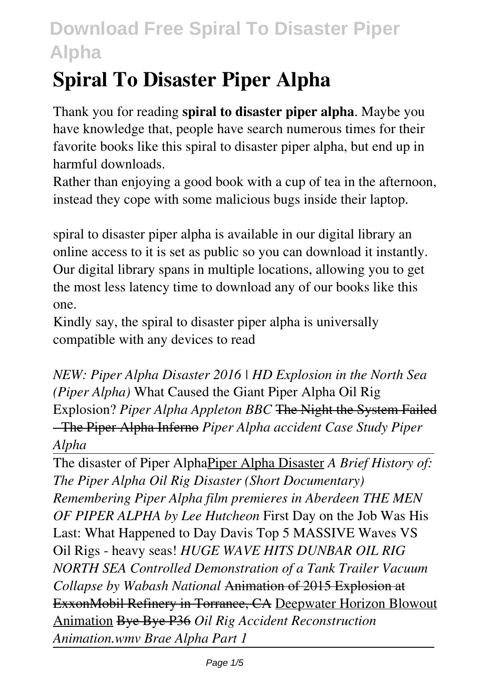# **Spiral To Disaster Piper Alpha**

Thank you for reading **spiral to disaster piper alpha**. Maybe you have knowledge that, people have search numerous times for their favorite books like this spiral to disaster piper alpha, but end up in harmful downloads.

Rather than enjoying a good book with a cup of tea in the afternoon, instead they cope with some malicious bugs inside their laptop.

spiral to disaster piper alpha is available in our digital library an online access to it is set as public so you can download it instantly. Our digital library spans in multiple locations, allowing you to get the most less latency time to download any of our books like this one.

Kindly say, the spiral to disaster piper alpha is universally compatible with any devices to read

*NEW: Piper Alpha Disaster 2016 | HD Explosion in the North Sea (Piper Alpha)* What Caused the Giant Piper Alpha Oil Rig Explosion? *Piper Alpha Appleton BBC* The Night the System Failed - The Piper Alpha Inferno *Piper Alpha accident Case Study Piper Alpha*

The disaster of Piper AlphaPiper Alpha Disaster *A Brief History of: The Piper Alpha Oil Rig Disaster (Short Documentary) Remembering Piper Alpha film premieres in Aberdeen THE MEN OF PIPER ALPHA by Lee Hutcheon* First Day on the Job Was His Last: What Happened to Day Davis Top 5 MASSIVE Waves VS Oil Rigs - heavy seas! *HUGE WAVE HITS DUNBAR OIL RIG NORTH SEA Controlled Demonstration of a Tank Trailer Vacuum Collapse by Wabash National* Animation of 2015 Explosion at ExxonMobil Refinery in Torrance, CA Deepwater Horizon Blowout Animation Bye Bye P36 *Oil Rig Accident Reconstruction Animation.wmv Brae Alpha Part 1*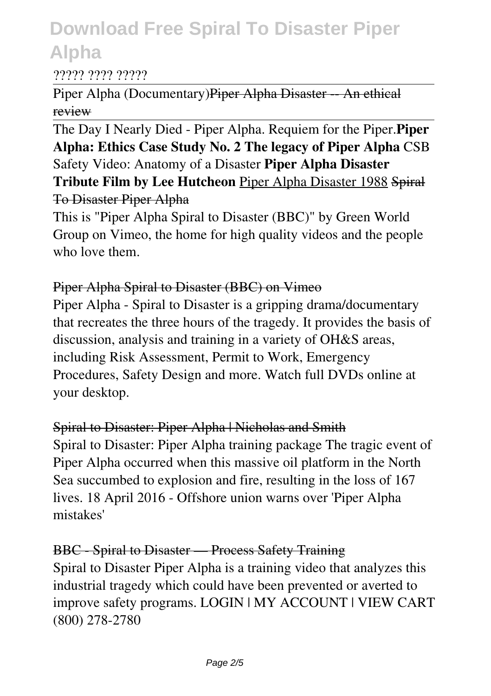#### ????? ???? ?????

Piper Alpha (Documentary)Piper Alpha Disaster -- An ethical review

The Day I Nearly Died - Piper Alpha. Requiem for the Piper.**Piper Alpha: Ethics Case Study No. 2 The legacy of Piper Alpha** CSB Safety Video: Anatomy of a Disaster **Piper Alpha Disaster Tribute Film by Lee Hutcheon** Piper Alpha Disaster 1988 Spiral To Disaster Piper Alpha

This is "Piper Alpha Spiral to Disaster (BBC)" by Green World Group on Vimeo, the home for high quality videos and the people who love them.

### Piper Alpha Spiral to Disaster (BBC) on Vimeo

Piper Alpha - Spiral to Disaster is a gripping drama/documentary that recreates the three hours of the tragedy. It provides the basis of discussion, analysis and training in a variety of OH&S areas, including Risk Assessment, Permit to Work, Emergency Procedures, Safety Design and more. Watch full DVDs online at your desktop.

### Spiral to Disaster: Piper Alpha | Nicholas and Smith

Spiral to Disaster: Piper Alpha training package The tragic event of Piper Alpha occurred when this massive oil platform in the North Sea succumbed to explosion and fire, resulting in the loss of 167 lives. 18 April 2016 - Offshore union warns over 'Piper Alpha mistakes'

### BBC - Spiral to Disaster — Process Safety Training

Spiral to Disaster Piper Alpha is a training video that analyzes this industrial tragedy which could have been prevented or averted to improve safety programs. LOGIN | MY ACCOUNT | VIEW CART (800) 278-2780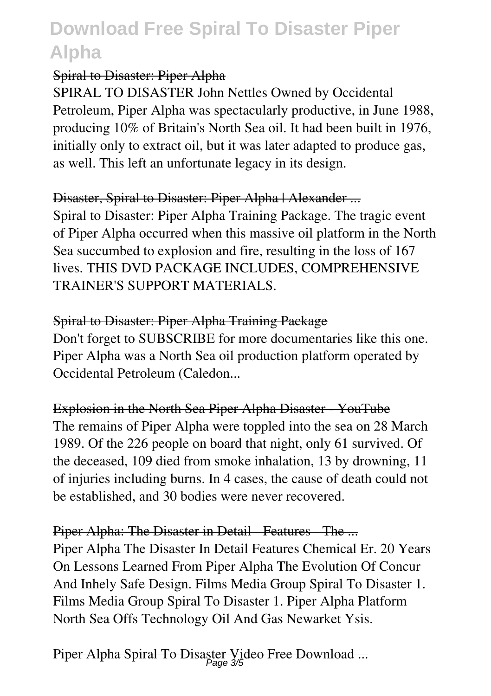# Spiral to Disaster: Piper Alpha

SPIRAL TO DISASTER John Nettles Owned by Occidental Petroleum, Piper Alpha was spectacularly productive, in June 1988, producing 10% of Britain's North Sea oil. It had been built in 1976, initially only to extract oil, but it was later adapted to produce gas, as well. This left an unfortunate legacy in its design.

# Disaster, Spiral to Disaster: Piper Alpha | Alexander ...

Spiral to Disaster: Piper Alpha Training Package. The tragic event of Piper Alpha occurred when this massive oil platform in the North Sea succumbed to explosion and fire, resulting in the loss of 167 lives. THIS DVD PACKAGE INCLUDES, COMPREHENSIVE TRAINER'S SUPPORT MATERIALS.

# Spiral to Disaster: Piper Alpha Training Package

Don't forget to SUBSCRIBE for more documentaries like this one. Piper Alpha was a North Sea oil production platform operated by Occidental Petroleum (Caledon...

Explosion in the North Sea Piper Alpha Disaster - YouTube The remains of Piper Alpha were toppled into the sea on 28 March

1989. Of the 226 people on board that night, only 61 survived. Of the deceased, 109 died from smoke inhalation, 13 by drowning, 11 of injuries including burns. In 4 cases, the cause of death could not be established, and 30 bodies were never recovered.

Piper Alpha: The Disaster in Detail - Features - The ... Piper Alpha The Disaster In Detail Features Chemical Er. 20 Years On Lessons Learned From Piper Alpha The Evolution Of Concur And Inhely Safe Design. Films Media Group Spiral To Disaster 1. Films Media Group Spiral To Disaster 1. Piper Alpha Platform North Sea Offs Technology Oil And Gas Newarket Ysis.

Piper Alpha Spiral To Disaster Video Free Download ... Page 3/5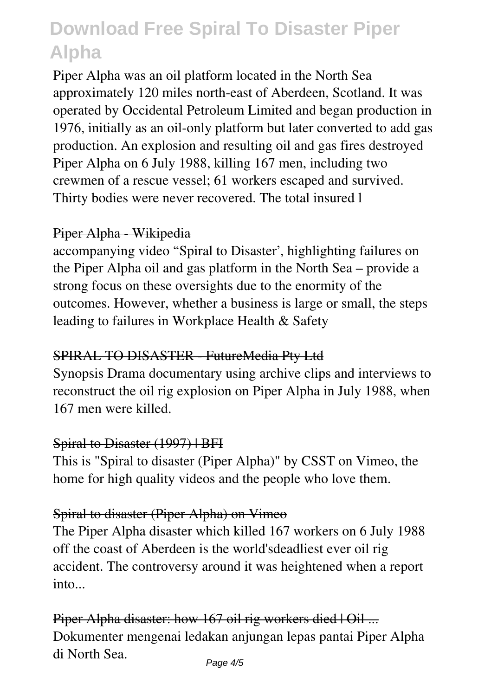Piper Alpha was an oil platform located in the North Sea approximately 120 miles north-east of Aberdeen, Scotland. It was operated by Occidental Petroleum Limited and began production in 1976, initially as an oil-only platform but later converted to add gas production. An explosion and resulting oil and gas fires destroyed Piper Alpha on 6 July 1988, killing 167 men, including two crewmen of a rescue vessel; 61 workers escaped and survived. Thirty bodies were never recovered. The total insured l

### Piper Alpha - Wikipedia

accompanying video "Spiral to Disaster', highlighting failures on the Piper Alpha oil and gas platform in the North Sea – provide a strong focus on these oversights due to the enormity of the outcomes. However, whether a business is large or small, the steps leading to failures in Workplace Health & Safety

### SPIRAL TO DISASTER - FutureMedia Pty Ltd

Synopsis Drama documentary using archive clips and interviews to reconstruct the oil rig explosion on Piper Alpha in July 1988, when 167 men were killed.

### Spiral to Disaster (1997) | BFI

This is "Spiral to disaster (Piper Alpha)" by CSST on Vimeo, the home for high quality videos and the people who love them.

# Spiral to disaster (Piper Alpha) on Vimeo

The Piper Alpha disaster which killed 167 workers on 6 July 1988 off the coast of Aberdeen is the world'sdeadliest ever oil rig accident. The controversy around it was heightened when a report into

Piper Alpha disaster: how 167 oil rig workers died | Oil ... Dokumenter mengenai ledakan anjungan lepas pantai Piper Alpha di North Sea.